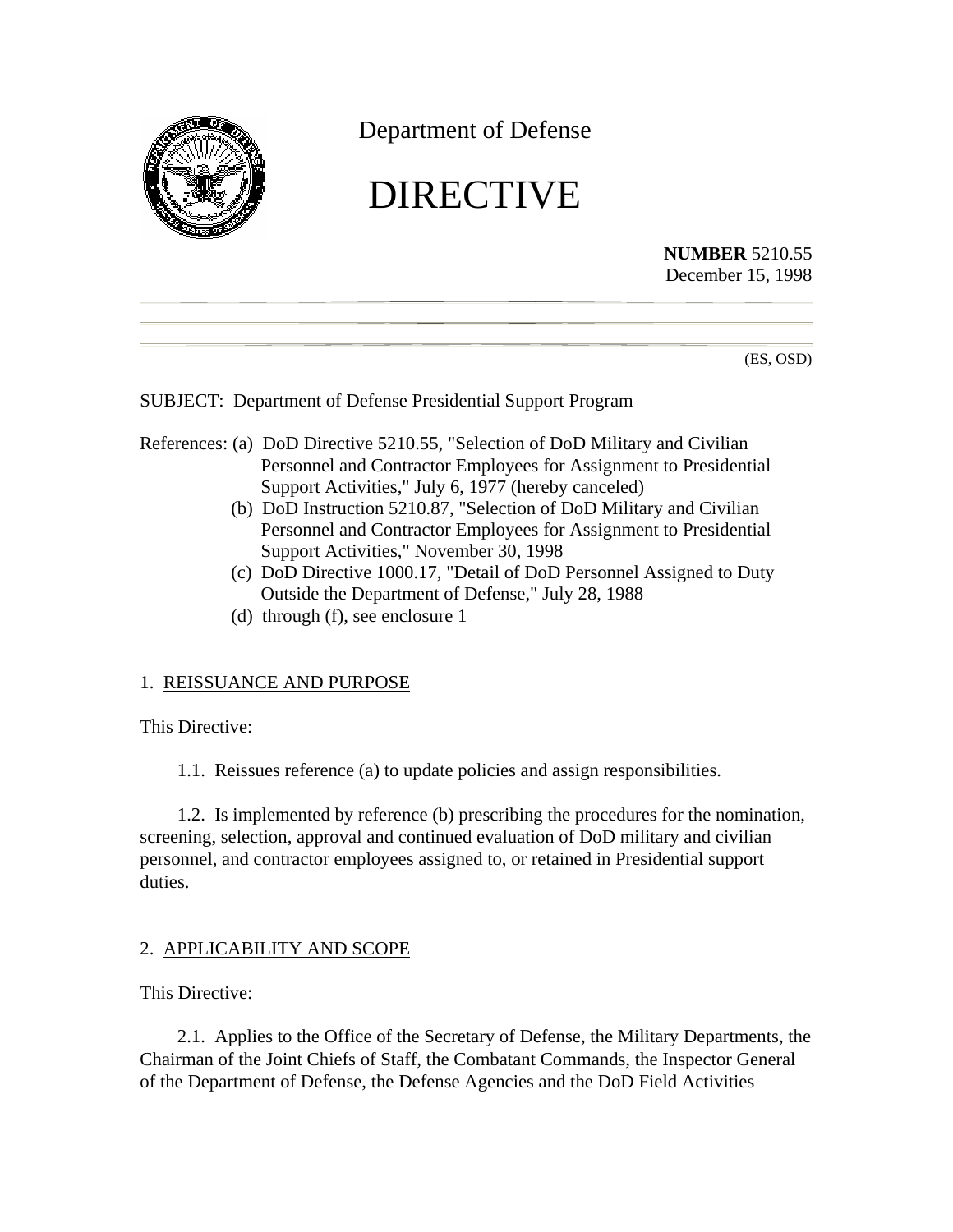

Department of Defense

# DIRECTIVE

**NUMBER** 5210.55 December 15, 1998

(ES, OSD)

SUBJECT: Department of Defense Presidential Support Program

- References: (a) DoD Directive 5210.55, "Selection of DoD Military and Civilian Personnel and Contractor Employees for Assignment to Presidential Support Activities," July 6, 1977 (hereby canceled)
	- (b) DoD Instruction 5210.87, "Selection of DoD Military and Civilian Personnel and Contractor Employees for Assignment to Presidential Support Activities," November 30, 1998
	- (c) DoD Directive 1000.17, "Detail of DoD Personnel Assigned to Duty Outside the Department of Defense," July 28, 1988
	- (d) through (f), see enclosure 1

## 1. REISSUANCE AND PURPOSE

This Directive:

1.1. Reissues reference (a) to update policies and assign responsibilities.

1.2. Is implemented by reference (b) prescribing the procedures for the nomination, screening, selection, approval and continued evaluation of DoD military and civilian personnel, and contractor employees assigned to, or retained in Presidential support duties.

## 2. APPLICABILITY AND SCOPE

This Directive:

2.1. Applies to the Office of the Secretary of Defense, the Military Departments, the Chairman of the Joint Chiefs of Staff, the Combatant Commands, the Inspector General of the Department of Defense, the Defense Agencies and the DoD Field Activities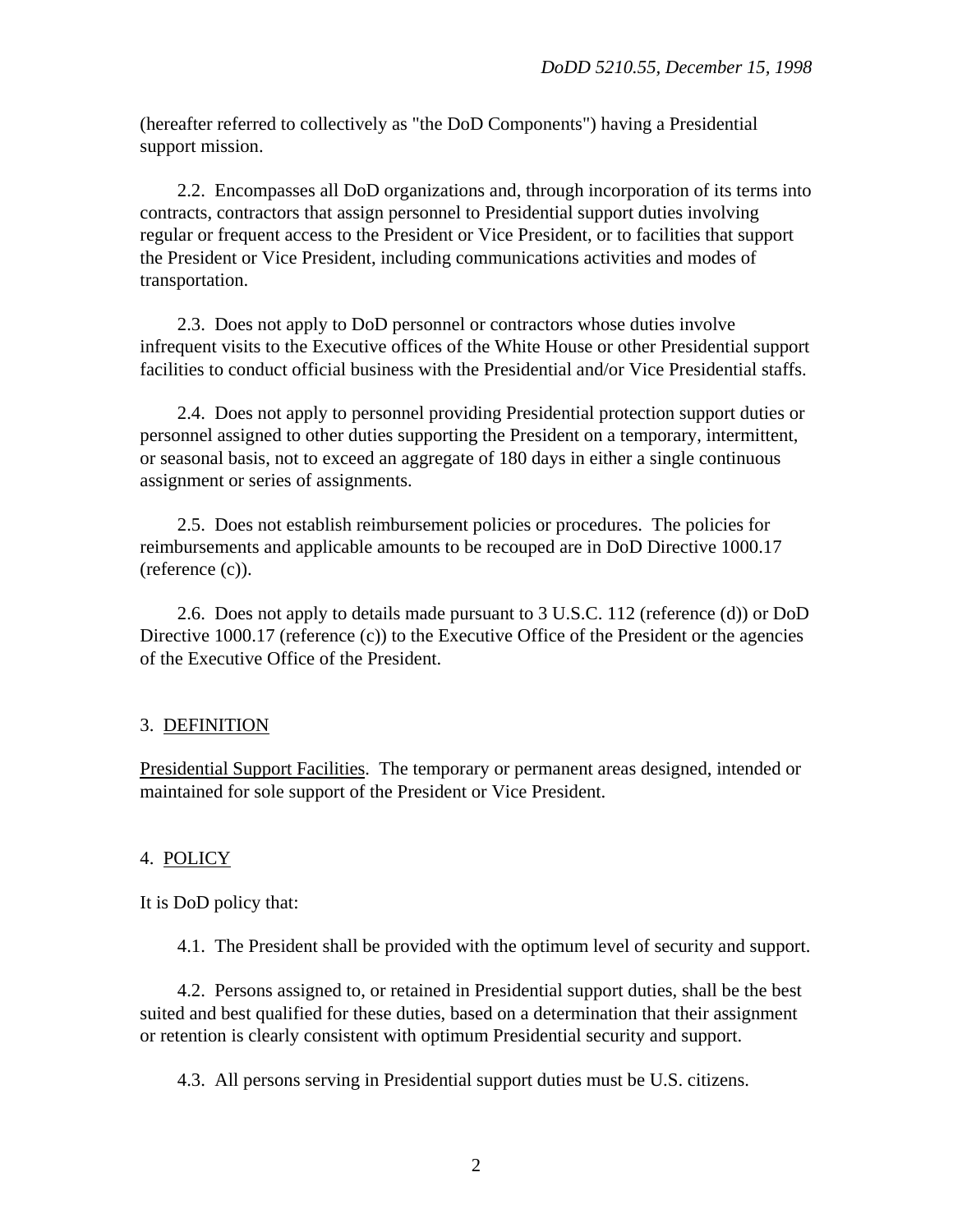(hereafter referred to collectively as "the DoD Components") having a Presidential support mission.

2.2. Encompasses all DoD organizations and, through incorporation of its terms into contracts, contractors that assign personnel to Presidential support duties involving regular or frequent access to the President or Vice President, or to facilities that support the President or Vice President, including communications activities and modes of transportation.

2.3. Does not apply to DoD personnel or contractors whose duties involve infrequent visits to the Executive offices of the White House or other Presidential support facilities to conduct official business with the Presidential and/or Vice Presidential staffs.

2.4. Does not apply to personnel providing Presidential protection support duties or personnel assigned to other duties supporting the President on a temporary, intermittent, or seasonal basis, not to exceed an aggregate of 180 days in either a single continuous assignment or series of assignments.

2.5. Does not establish reimbursement policies or procedures. The policies for reimbursements and applicable amounts to be recouped are in DoD Directive 1000.17 (reference (c)).

2.6. Does not apply to details made pursuant to 3 U.S.C. 112 (reference (d)) or DoD Directive 1000.17 (reference (c)) to the Executive Office of the President or the agencies of the Executive Office of the President.

## 3. DEFINITION

Presidential Support Facilities. The temporary or permanent areas designed, intended or maintained for sole support of the President or Vice President.

## 4. POLICY

It is DoD policy that:

4.1. The President shall be provided with the optimum level of security and support.

4.2. Persons assigned to, or retained in Presidential support duties, shall be the best suited and best qualified for these duties, based on a determination that their assignment or retention is clearly consistent with optimum Presidential security and support.

4.3. All persons serving in Presidential support duties must be U.S. citizens.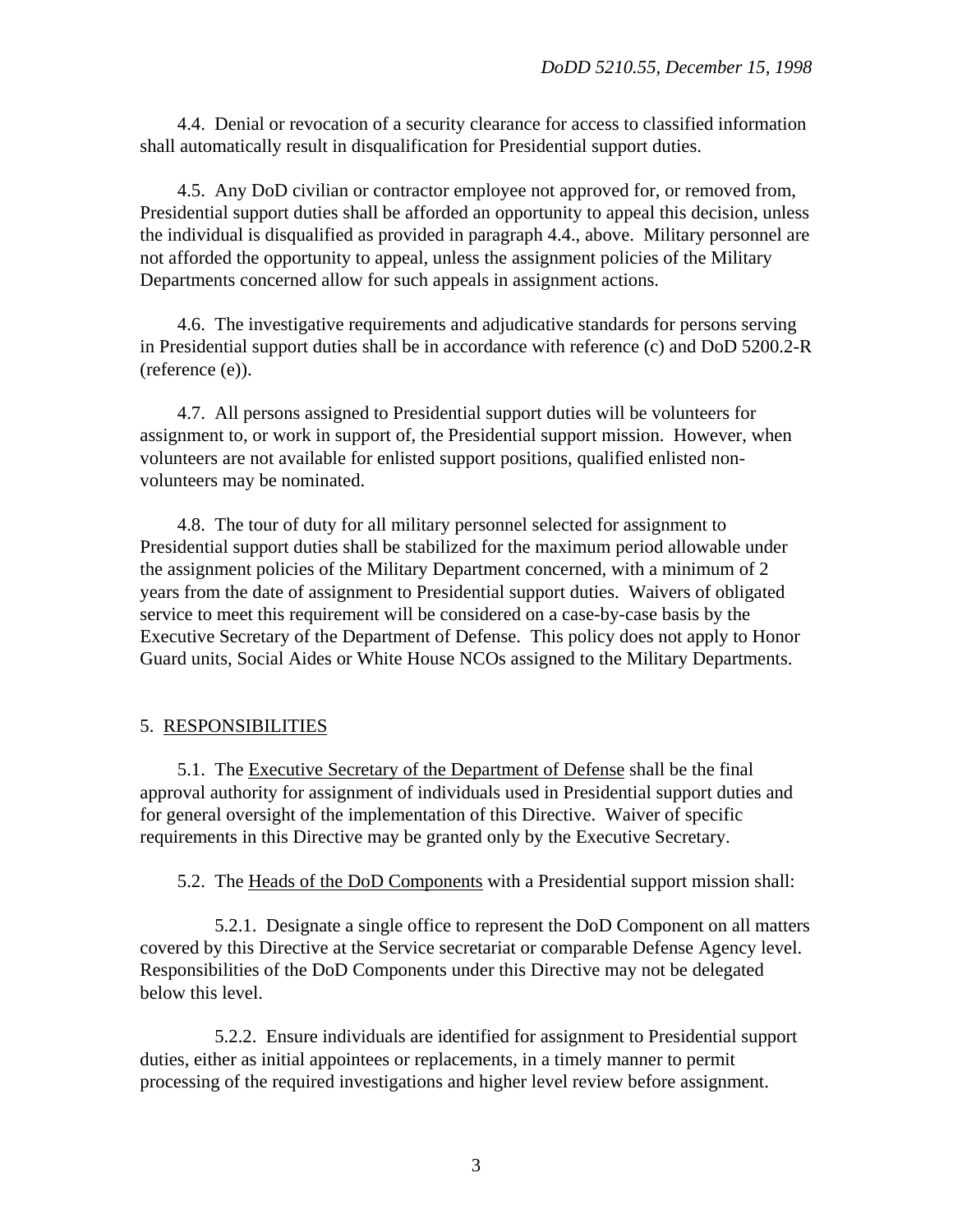4.4. Denial or revocation of a security clearance for access to classified information shall automatically result in disqualification for Presidential support duties.

4.5. Any DoD civilian or contractor employee not approved for, or removed from, Presidential support duties shall be afforded an opportunity to appeal this decision, unless the individual is disqualified as provided in paragraph 4.4., above. Military personnel are not afforded the opportunity to appeal, unless the assignment policies of the Military Departments concerned allow for such appeals in assignment actions.

4.6. The investigative requirements and adjudicative standards for persons serving in Presidential support duties shall be in accordance with reference (c) and DoD 5200.2-R (reference (e)).

4.7. All persons assigned to Presidential support duties will be volunteers for assignment to, or work in support of, the Presidential support mission. However, when volunteers are not available for enlisted support positions, qualified enlisted nonvolunteers may be nominated.

4.8. The tour of duty for all military personnel selected for assignment to Presidential support duties shall be stabilized for the maximum period allowable under the assignment policies of the Military Department concerned, with a minimum of 2 years from the date of assignment to Presidential support duties. Waivers of obligated service to meet this requirement will be considered on a case-by-case basis by the Executive Secretary of the Department of Defense. This policy does not apply to Honor Guard units, Social Aides or White House NCOs assigned to the Military Departments.

#### 5. RESPONSIBILITIES

5.1. The Executive Secretary of the Department of Defense shall be the final approval authority for assignment of individuals used in Presidential support duties and for general oversight of the implementation of this Directive. Waiver of specific requirements in this Directive may be granted only by the Executive Secretary.

5.2. The Heads of the DoD Components with a Presidential support mission shall:

5.2.1. Designate a single office to represent the DoD Component on all matters covered by this Directive at the Service secretariat or comparable Defense Agency level. Responsibilities of the DoD Components under this Directive may not be delegated below this level.

5.2.2. Ensure individuals are identified for assignment to Presidential support duties, either as initial appointees or replacements, in a timely manner to permit processing of the required investigations and higher level review before assignment.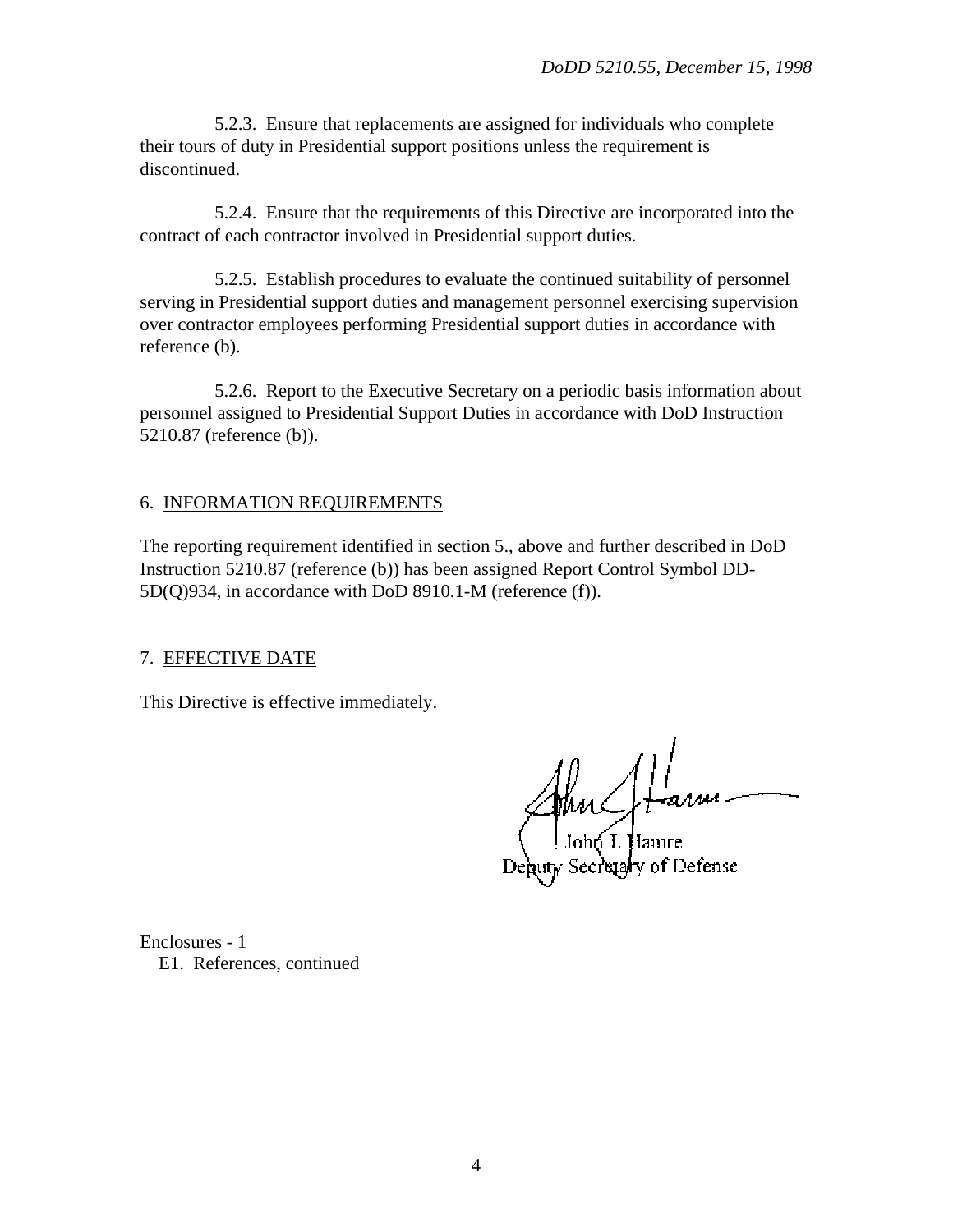5.2.3. Ensure that replacements are assigned for individuals who complete their tours of duty in Presidential support positions unless the requirement is discontinued.

5.2.4. Ensure that the requirements of this Directive are incorporated into the contract of each contractor involved in Presidential support duties.

5.2.5. Establish procedures to evaluate the continued suitability of personnel serving in Presidential support duties and management personnel exercising supervision over contractor employees performing Presidential support duties in accordance with reference (b).

5.2.6. Report to the Executive Secretary on a periodic basis information about personnel assigned to Presidential Support Duties in accordance with DoD Instruction 5210.87 (reference (b)).

## 6. INFORMATION REQUIREMENTS

The reporting requirement identified in section 5., above and further described in DoD Instruction 5210.87 (reference (b)) has been assigned Report Control Symbol DD-5D(Q)934, in accordance with DoD 8910.1-M (reference (f)).

## 7. EFFECTIVE DATE

This Directive is effective immediately.

Muchta

Enclosures - 1 E1. References, continued